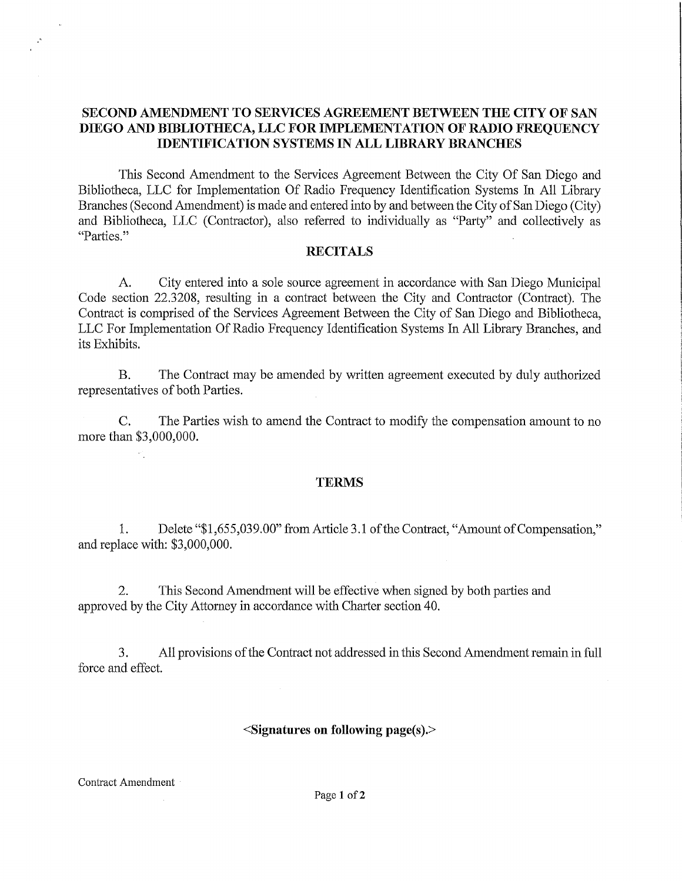## **SECOND AMENDMENT TO SERVICES AGREEMENT BETWEEN THE CITY OF SAN DIEGO AND BIBLIOTHECA, LLC FOR IMPLEMENTATION OF RADIO FREQUENCY IDENTIFICATION SYSTEMS IN ALL LIBRARY BRANCHES**

This Second Amendment to the Services Agreement Between the City Of San Diego and Bibliotheca, LLC for Implementation Of Radio Frequency Identification Systems In All Library Branches (Second Amendment) is made and entered into by and between the City of San Diego (City) and Bibliotheca, LLC (Contractor), also referred to individually as "Party" and collectively as "Parties."

## **RECITALS**

A. City entered into a sole source agreement in accordance with San Diego Municipal Code section 22.3208, resulting in a contract between the City and Contractor (Contract). The Contract is comprised of the Services Agreement Between the City of San Diego and Bibliotheca, LLC For Implementation Of Radio Frequency Identification Systems In All Library Branches, and its Exhibits.

B. The Contract may be amended by written agreement executed by duly authorized representatives of both Parties.

C. The Parties wish to amend the Contract to modify the compensation amount to no more than \$3,000,000.

## **TERMS**

1. Delete "\$1,655,039.00" from Article 3 .1 of the Contract, "Amount of Compensation," and replace with: \$3,000,000.

2. This Second Amendment will be effective when signed by both parties and approved by the City Attorney in accordance with Charter section 40.

3. All provisions of the Contract not addressed in this Second Amendment remain in full force and effect.

## **<Signatures on following page(s).>**

Contract Amendment

 $\cdot$